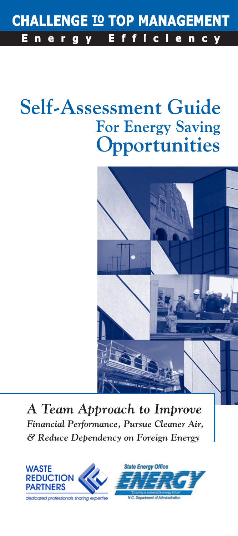#### **CHALLENGE TO TOP MANAGEMENT**  $f$ E.  $\mathbf{f}$ E ergy i c i.  $e$  $\mathbf n$ c y n

# **Self-Assessment Guide For Energy Saving Opportunities**



*A Team Approach to Improve Financial Performance, Pursue Cleaner Air, & Reduce Dependency on Foreign Energy*

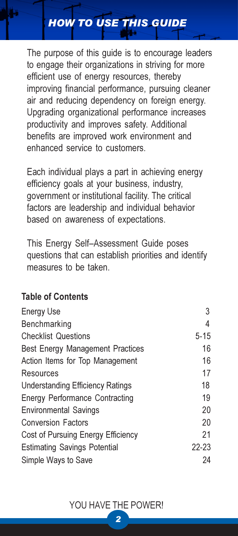# HOW TO USE THIS GUIDE

The purpose of this guide is to encourage leaders to engage their organizations in striving for more efficient use of energy resources, thereby improving financial performance, pursuing cleaner air and reducing dependency on foreign energy. Upgrading organizational performance increases productivity and improves safety. Additional benefits are improved work environment and enhanced service to customers.

Each individual plays a part in achieving energy efficiency goals at your business, industry, government or institutional facility. The critical factors are leadership and individual behavior based on awareness of expectations.

This Energy Self–Assessment Guide poses questions that can establish priorities and identify measures to be taken.

## Table of Contents

| <b>Energy Use</b>                       | 3         |
|-----------------------------------------|-----------|
| Benchmarking                            | 4         |
| <b>Checklist Questions</b>              | $5 - 15$  |
| <b>Best Energy Management Practices</b> | 16        |
| Action Items for Top Management         | 16        |
| Resources                               | 17        |
| <b>Understanding Efficiency Ratings</b> | 18        |
| <b>Energy Performance Contracting</b>   | 19        |
| <b>Environmental Savings</b>            | 20        |
| <b>Conversion Factors</b>               | 20        |
| Cost of Pursuing Energy Efficiency      | 21        |
| <b>Estimating Savings Potential</b>     | $22 - 23$ |
| Simple Ways to Save                     | 24        |
|                                         |           |

#### YOU HAVE THE POWER!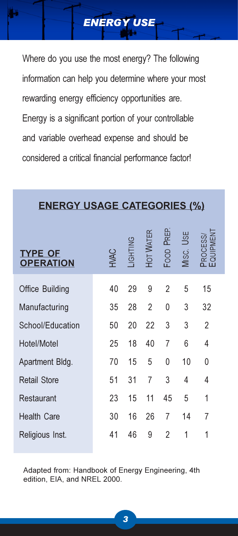Where do you use the most energy? The following information can help you determine where your most rewarding energy efficiency opportunities are. Energy is a significant portion of your controllable and variable overhead expense and should be considered a critical financial performance factor!

ENERGY USE

## ENERGY USAGE CATEGORIES (%)

| TYPE OF<br><b>OPERATION</b> | <b>NAC</b> | <b>ONITHOL</b> | <b>HOT WATER</b> | PREP.<br>Foop | <b>USE</b><br>Misc. | ပ္လွ်ပ္        |
|-----------------------------|------------|----------------|------------------|---------------|---------------------|----------------|
| Office Building             | 40         | 29             | 9                | 2             | 5                   | 15             |
| Manufacturing               | 35         | 28             | $\overline{2}$   | 0             | 3                   | 32             |
| School/Education            | 50         | 20             | 22               | 3             | 3                   | 2              |
| Hotel/Motel                 | 25         | 18             | 40               | 7             | 6                   | $\overline{4}$ |
| Apartment Bldg.             | 70         | 15             | 5                | 0             | 10                  | 0              |
| <b>Retail Store</b>         | 51         | 31             | 7                | 3             | 4                   | 4              |
| Restaurant                  | 23         | 15             | 11               | 45            | 5                   | 1              |
| <b>Health Care</b>          | 30         | 16             | 26               | 7             | 14                  | 7              |
| Religious Inst.             | 41         | 46             | 9                | 2             | 1                   | 1              |

Adapted from: Handbook of Energy Engineering, 4th edition, EIA, and NREL 2000.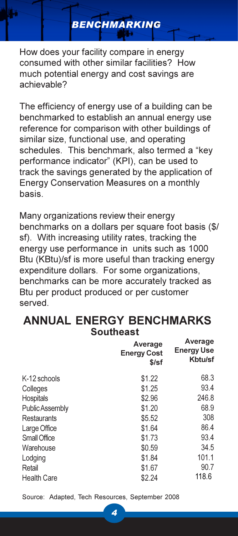How does your facility compare in energy consumed with other similar facilities? How much potential energy and cost savings are achievable?

BENCHMARKING

The efficiency of energy use of a building can be benchmarked to establish an annual energy use reference for comparison with other buildings of similar size, functional use, and operating schedules. This benchmark, also termed a "key performance indicator" (KPI), can be used to track the savings generated by the application of Energy Conservation Measures on a monthly basis.

Many organizations review their energy benchmarks on a dollars per square foot basis (\$/ sf). With increasing utility rates, tracking the energy use performance in units such as 1000 Btu (KBtu)/sf is more useful than tracking energy expenditure dollars. For some organizations, benchmarks can be more accurately tracked as Btu per product produced or per customer served.

#### ANNUAL ENERGY BENCHMARKS Southeast

| Average<br><b>Energy Cost</b><br>$$$ /sf | Average<br><b>Energy Use</b><br>Kbtu/sf |
|------------------------------------------|-----------------------------------------|
| \$1.22                                   | 68.3                                    |
| \$1.25                                   | 93.4                                    |
| \$2.96                                   | 246.8                                   |
| \$1.20                                   | 68.9                                    |
| \$5.52                                   | 308                                     |
| \$1.64                                   | 86.4                                    |
| \$1.73                                   | 93.4                                    |
| \$0.59                                   | 34.5                                    |
| \$1.84                                   | 101.1                                   |
| \$1.67                                   | 90.7                                    |
| \$2.24                                   | 118.6                                   |
|                                          |                                         |

Source: Adapted, Tech Resources, September 2008

4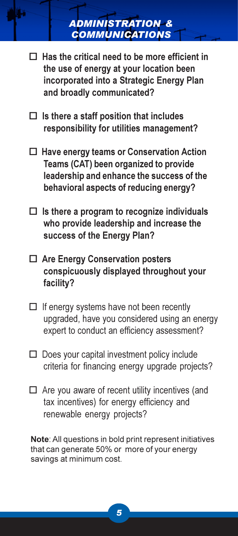- ADMINISTRATION & **COMMUNICATIONS**
- $\Box$  Has the critical need to be more efficient in the use of energy at your location been incorporated into a Strategic Energy Plan and broadly communicated?
- $\Box$  Is there a staff position that includes responsibility for utilities management?
- □ Have energy teams or Conservation Action Teams (CAT) been organized to provide leadership and enhance the success of the behavioral aspects of reducing energy?
- $\Box$  Is there a program to recognize individuals who provide leadership and increase the success of the Energy Plan?
- □ Are Energy Conservation posters conspicuously displayed throughout your facility?
- $\Box$  If energy systems have not been recently upgraded, have you considered using an energy expert to conduct an efficiency assessment?
- □ Does your capital investment policy include criteria for financing energy upgrade projects?
- □ Are you aware of recent utility incentives (and tax incentives) for energy efficiency and renewable energy projects?

Note: All questions in bold print represent initiatives that can generate 50% or more of your energy savings at minimum cost.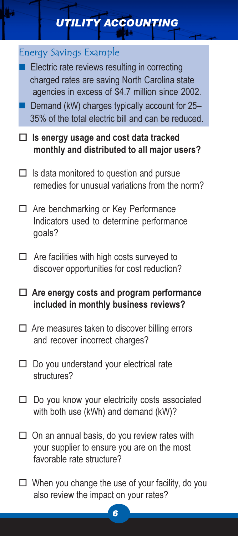# UTILITY ACCOUNTING

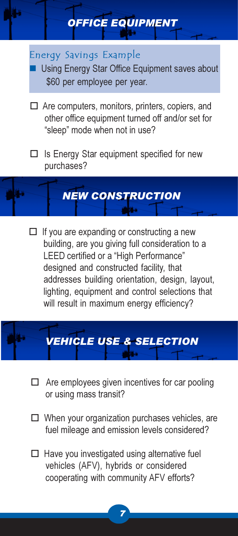#### Energy Savings Example

 Using Energy Star Office Equipment saves about \$60 per employee per year.

OFFICE EQUIPMENT

- □ Are computers, monitors, printers, copiers, and other office equipment turned off and/or set for "sleep" mode when not in use?
- □ Is Energy Star equipment specified for new purchases?



□ If you are expanding or constructing a new building, are you giving full consideration to a LEED certified or a "High Performance" designed and constructed facility, that addresses building orientation, design, layout, lighting, equipment and control selections that will result in maximum energy efficiency?

# VEHICLE USE & SELECTION

- $\Box$  Are employees given incentives for car pooling or using mass transit?
- □ When your organization purchases vehicles, are fuel mileage and emission levels considered?
- □ Have you investigated using alternative fuel vehicles (AFV), hybrids or considered cooperating with community AFV efforts?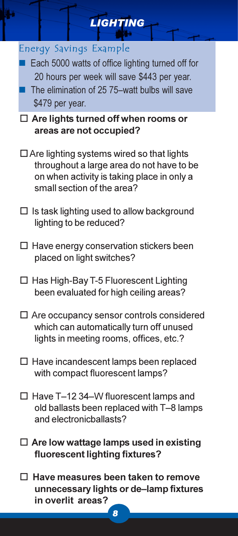# **LIGHTING** Energy Savings Example ■ Each 5000 watts of office lighting turned off for 20 hours per week will save \$443 per year. The elimination of 25 75–watt bulbs will save \$479 per year. □ Are lights turned off when rooms or areas are not occupied?  $\Box$  Are lighting systems wired so that lights throughout a large area do not have to be on when activity is taking place in only a small section of the area?  $\square$  Is task lighting used to allow background lighting to be reduced? - Have energy conservation stickers been placed on light switches? □ Has High-Bay T-5 Fluorescent Lighting been evaluated for high ceiling areas? - Are occupancy sensor controls considered which can automatically turn off unused lights in meeting rooms, offices, etc.? - Have incandescent lamps been replaced with compact fluorescent lamps? □ Have T-12 34-W fluorescent lamps and old ballasts been replaced with T–8 lamps and electronicballasts?  $\square$  Are low wattage lamps used in existing fluorescent lighting fixtures? □ Have measures been taken to remove unnecessary lights or de–lamp fixtures in overlit areas?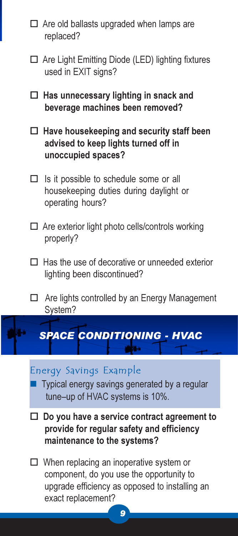- □ Are old ballasts upgraded when lamps are replaced?
- □ Are Light Emitting Diode (LED) lighting fixtures used in EXIT signs?
- Has unnecessary lighting in snack and beverage machines been removed?
- □ Have housekeeping and security staff been advised to keep lights turned off in unoccupied spaces?
- $\Box$  Is it possible to schedule some or all housekeeping duties during daylight or operating hours?
- □ Are exterior light photo cells/controls working properly?
- □ Has the use of decorative or unneeded exterior lighting been discontinued?
- □ Are lights controlled by an Energy Management System?

# SPACE CONDITIONING - HVAC

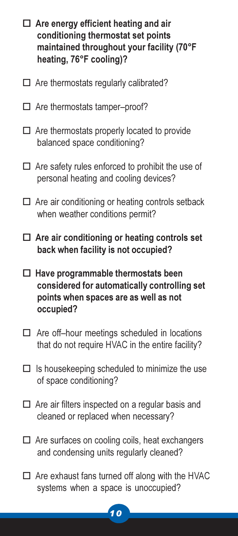- Are energy efficient heating and air conditioning thermostat set points maintained throughout your facility (70°F heating, 76°F cooling)?
- $\Box$  Are thermostats regularly calibrated?
- □ Are thermostats tamper-proof?
- □ Are thermostats properly located to provide balanced space conditioning?
- $\Box$  Are safety rules enforced to prohibit the use of personal heating and cooling devices?
- □ Are air conditioning or heating controls setback when weather conditions permit?
- □ Are air conditioning or heating controls set back when facility is not occupied?
- Have programmable thermostats been considered for automatically controlling set points when spaces are as well as not occupied?
- □ Are off-hour meetings scheduled in locations that do not require HVAC in the entire facility?
- $\Box$  Is housekeeping scheduled to minimize the use of space conditioning?
- $\Box$  Are air filters inspected on a regular basis and cleaned or replaced when necessary?
- □ Are surfaces on cooling coils, heat exchangers and condensing units regularly cleaned?
- $\Box$  Are exhaust fans turned off along with the HVAC systems when a space is unoccupied?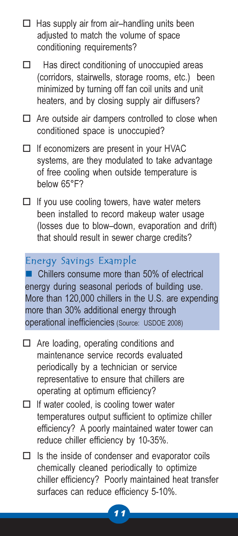- □ Has supply air from air-handling units been adjusted to match the volume of space conditioning requirements?
- $\Box$  Has direct conditioning of unoccupied areas (corridors, stairwells, storage rooms, etc.) been minimized by turning off fan coil units and unit heaters, and by closing supply air diffusers?
- □ Are outside air dampers controlled to close when conditioned space is unoccupied?
- □ If economizers are present in your HVAC systems, are they modulated to take advantage of free cooling when outside temperature is below 65°F?
- □ If you use cooling towers, have water meters been installed to record makeup water usage (losses due to blow–down, evaporation and drift) that should result in sewer charge credits?

# Energy Savings Example

 Chillers consume more than 50% of electrical energy during seasonal periods of building use. More than 120,000 chillers in the U.S. are expending more than 30% additional energy through operational inefficiencies (Source: USDOE 2008)

- Are loading, operating conditions and maintenance service records evaluated periodically by a technician or service representative to ensure that chillers are operating at optimum efficiency?
- □ If water cooled, is cooling tower water temperatures output sufficient to optimize chiller efficiency? A poorly maintained water tower can reduce chiller efficiency by 10-35%.
- $\Box$  Is the inside of condenser and evaporator coils chemically cleaned periodically to optimize chiller efficiency? Poorly maintained heat transfer surfaces can reduce efficiency 5-10%.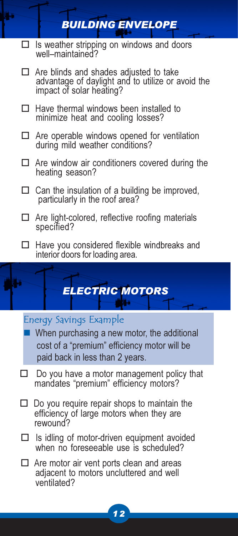#### $\Box$  Is weather stripping on windows and doors well–maintained?

- Are blinds and shades adjusted to take advantage of daylight and to utilize or avoid the impact of solar heating?

BUILDING ENVELOPE

- Have thermal windows been installed to minimize heat and cooling losses?
- □ Are operable windows opened for ventilation during mild weather conditions?
- $\Box$  Are window air conditioners covered during the heating season?
- $\Box$  Can the insulation of a building be improved, particularly in the roof area?
- □ Are light-colored, reflective roofing materials specified?
- Have you considered flexible windbreaks and interior doors for loading area.

# ELECTRIC MOTORS

## Energy Savings Example

- When purchasing a new motor, the additional cost of a "premium" efficiency motor will be paid back in less than 2 years.
- $\Box$  Do you have a motor management policy that mandates "premium" efficiency motors?
- $\Box$  Do you require repair shops to maintain the efficiency of large motors when they are rewound?
- Is idling of motor-driven equipment avoided when no foreseeable use is scheduled?
- □ Are motor air vent ports clean and areas adjacent to motors uncluttered and well ventilated?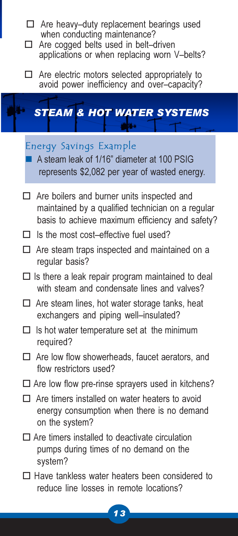- □ Are heavy-duty replacement bearings used when conducting maintenance?
- □ Are cogged belts used in belt-driven applications or when replacing worn V–belts?
- □ Are electric motors selected appropriately to avoid power inefficiency and over–capacity?

# STEAM & HOT WATER SYSTEMS

#### Energy Savings Example

 A steam leak of 1/16" diameter at 100 PSIG represents \$2,082 per year of wasted energy.

- □ Are boilers and burner units inspected and maintained by a qualified technician on a regular basis to achieve maximum efficiency and safety?
- □ Is the most cost-effective fuel used?
- □ Are steam traps inspected and maintained on a regular basis?
- $\square$  Is there a leak repair program maintained to deal with steam and condensate lines and valves?
- □ Are steam lines, hot water storage tanks, heat exchangers and piping well–insulated?
- $\square$  Is hot water temperature set at the minimum required?
- □ Are low flow showerheads, faucet aerators, and flow restrictors used?
- □ Are low flow pre-rinse sprayers used in kitchens?
- $\Box$  Are timers installed on water heaters to avoid energy consumption when there is no demand on the system?
- $\Box$  Are timers installed to deactivate circulation pumps during times of no demand on the system?
- □ Have tankless water heaters been considered to reduce line losses in remote locations?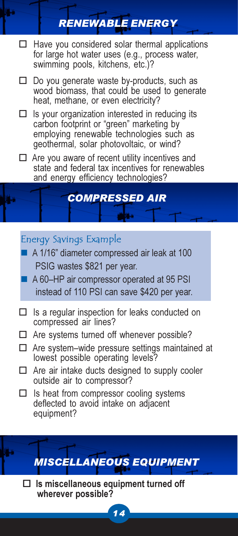# RENEWABLE ENERGY

- Have you considered solar thermal applications for large hot water uses (e.g., process water, swimming pools, kitchens, etc.)?
- □ Do you generate waste by-products, such as wood biomass, that could be used to generate heat, methane, or even electricity?
- $\Box$  Is your organization interested in reducing its carbon footprint or "green" marketing by employing renewable technologies such as geothermal, solar photovoltaic, or wind?
- □ Are you aware of recent utility incentives and state and federal tax incentives for renewables and energy efficiency technologies?

# COMPRESSED AIR

## Energy Savings Example

- A 1/16" diameter compressed air leak at 100 PSIG wastes \$821 per year.
- A 60–HP air compressor operated at 95 PSI instead of 110 PSI can save \$420 per year.
- $\Box$  Is a regular inspection for leaks conducted on compressed air lines?
- □ Are systems turned off whenever possible?
- □ Are system-wide pressure settings maintained at lowest possible operating levels?
- $\Box$  Are air intake ducts designed to supply cooler outside air to compressor?
- $\Box$  Is heat from compressor cooling systems deflected to avoid intake on adjacent equipment?

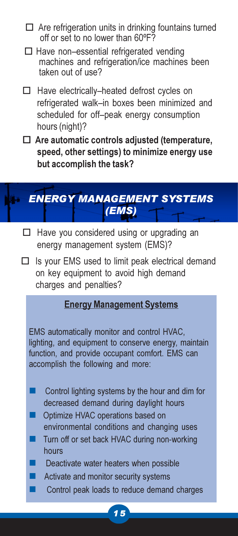- $\Box$  Are refrigeration units in drinking fountains turned off or set to no lower than 60ºF?
- □ Have non-essential refrigerated vending machines and refrigeration/ice machines been taken out of use?
- □ Have electrically-heated defrost cycles on refrigerated walk–in boxes been minimized and scheduled for off–peak energy consumption hours (night)?
- $\Box$  Are automatic controls adjusted (temperature, speed, other settings) to minimize energy use but accomplish the task?

# ENERGY MANAGEMENT SYSTEMS (EMS)

- □ Have you considered using or upgrading an energy management system (EMS)?
- □ Is your EMS used to limit peak electrical demand on key equipment to avoid high demand charges and penalties?

# Energy Management Systems

EMS automatically monitor and control HVAC, lighting, and equipment to conserve energy, maintain function, and provide occupant comfort. EMS can accomplish the following and more:

- Control lighting systems by the hour and dim for decreased demand during daylight hours
- **Optimize HVAC operations based on** environmental conditions and changing uses
- Turn off or set back HVAC during non-working hours
- Deactivate water heaters when possible
- Activate and monitor security systems
- Control peak loads to reduce demand charges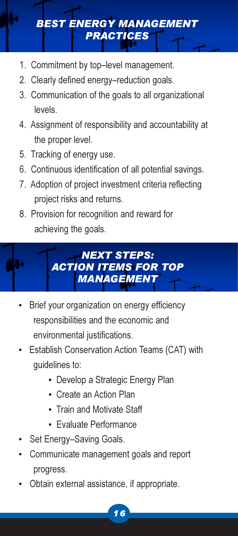# BEST ENERGY MANAGEMENT PRACTICES

- 1. Commitment by top–level management.
- 2. Clearly defined energy–reduction goals.
- 3. Communication of the goals to all organizational levels.
- 4. Assignment of responsibility and accountability at the proper level.
- 5. Tracking of energy use.
- 6. Continuous identification of all potential savings.
- 7. Adoption of project investment criteria reflecting project risks and returns.
- 8. Provision for recognition and reward for achieving the goals.



- Brief your organization on energy efficiency responsibilities and the economic and environmental justifications.
- Establish Conservation Action Teams (CAT) with guidelines to:
	- Develop a Strategic Energy Plan
	- Create an Action Plan
	- Train and Motivate Staff
	- Evaluate Performance
- Set Energy–Saving Goals.
- Communicate management goals and report progress.
- Obtain external assistance, if appropriate.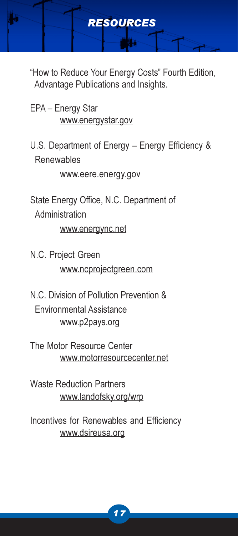

RESOURCES

- EPA Energy Star www.energystar.gov
- U.S. Department of Energy Energy Efficiency & Renewables

www.eere.energy.gov

State Energy Office, N.C. Department of Administration

www.energync.net

- N.C. Project Green www.ncprojectgreen.com
- N.C. Division of Pollution Prevention & Environmental Assistance www.p2pays.org
- The Motor Resource Center www.motorresourcecenter.net

Waste Reduction Partners www.landofsky.org/wrp

Incentives for Renewables and Efficiency www.dsireusa.org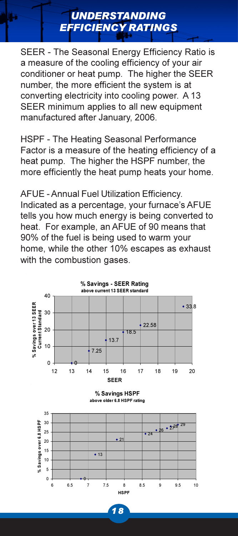SEER - The Seasonal Energy Efficiency Ratio is a measure of the cooling efficiency of your air conditioner or heat pump. The higher the SEER number, the more efficient the system is at converting electricity into cooling power. A 13 SEER minimum applies to all new equipment manufactured after January, 2006.

UNDERSTANDING EFFICIENCY RATINGS

HSPF - The Heating Seasonal Performance Factor is a measure of the heating efficiency of a heat pump. The higher the HSPF number, the more efficiently the heat pump heats your home.

AFUE - Annual Fuel Utilization Efficiency. Indicated as a percentage, your furnace's AFUE tells you how much energy is being converted to heat. For example, an AFUE of 90 means that 90% of the fuel is being used to warm your home, while the other 10% escapes as exhaust with the combustion gases.



1 8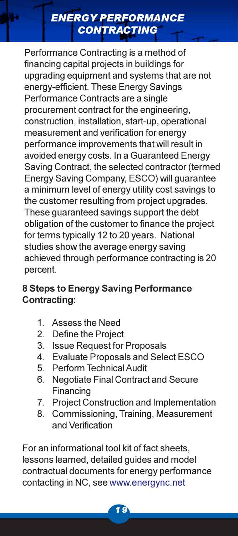# ENERGY PERFORMANCE **CONTRACTING**

Performance Contracting is a method of financing capital projects in buildings for upgrading equipment and systems that are not energy-efficient. These Energy Savings Performance Contracts are a single procurement contract for the engineering, construction, installation, start-up, operational measurement and verification for energy performance improvements that will result in avoided energy costs. In a Guaranteed Energy Saving Contract, the selected contractor (termed Energy Saving Company, ESCO) will guarantee a minimum level of energy utility cost savings to the customer resulting from project upgrades. These guaranteed savings support the debt obligation of the customer to finance the project for terms typically 12 to 20 years. National studies show the average energy saving achieved through performance contracting is 20 percent.

# 8 Steps to Energy Saving Performance Contracting:

- 1. Assess the Need
- 2. Define the Project
- 3. Issue Request for Proposals
- 4. Evaluate Proposals and Select ESCO
- 5. Perform Technical Audit
- 6. Negotiate Final Contract and Secure Financing
- 7. Project Construction and Implementation
- 8. Commissioning, Training, Measurement and Verification

For an informational tool kit of fact sheets, lessons learned, detailed guides and model contractual documents for energy performance contacting in NC, see www.energync.net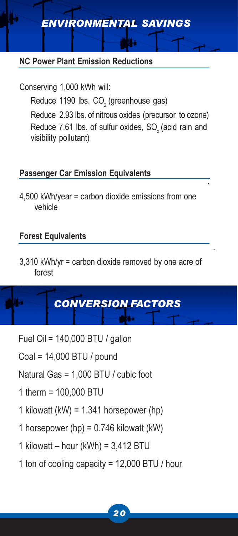# ENVIRONMENTAL SAVINGS

#### NC Power Plant Emission Reductions

Conserving 1,000 kWh will: Reduce 1190 lbs. CO<sub>2</sub> (greenhouse gas) Reduce 2.93 lbs. of nitrous oxides (precursor to ozone) Reduce 7.61 lbs. of sulfur oxides, SO<sub>v</sub> (acid rain and visibility pollutant)

#### Passenger Car Emission Equivalents

4,500 kWh/year = carbon dioxide emissions from one vehicle

#### Forest Equivalents

3,310 kWh/yr = carbon dioxide removed by one acre of forest

# CONVERSION FACTORS

- Fuel Oil = 140,000 BTU / gallon
- Coal = 14,000 BTU / pound
- Natural Gas = 1,000 BTU / cubic foot
- 1 therm = 100,000 BTU
- 1 kilowatt (kW) =  $1.341$  horsepower (hp)
- 1 horsepower (hp) =  $0.746$  kilowatt (kW)
- 1 kilowatt hour (kWh) = 3,412 BTU
- 1 ton of cooling capacity = 12,000 BTU / hour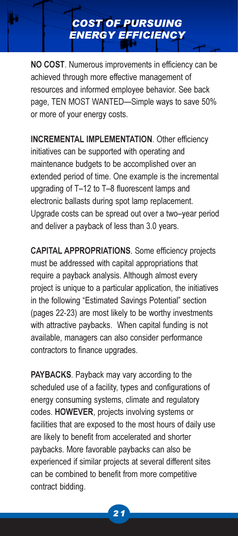NO COST. Numerous improvements in efficiency can be achieved through more effective management of resources and informed employee behavior. See back page, TEN MOST WANTED—Simple ways to save 50% or more of your energy costs.

COST OF PURSUING ENERGY EFFICIENCY

INCREMENTAL IMPLEMENTATION. Other efficiency initiatives can be supported with operating and maintenance budgets to be accomplished over an extended period of time. One example is the incremental upgrading of T–12 to T–8 fluorescent lamps and electronic ballasts during spot lamp replacement. Upgrade costs can be spread out over a two–year period and deliver a payback of less than 3.0 years.

CAPITAL APPROPRIATIONS. Some efficiency projects must be addressed with capital appropriations that require a payback analysis. Although almost every project is unique to a particular application, the initiatives in the following "Estimated Savings Potential" section (pages 22-23) are most likely to be worthy investments with attractive paybacks. When capital funding is not available, managers can also consider performance contractors to finance upgrades.

PAYBACKS. Payback may vary according to the scheduled use of a facility, types and configurations of energy consuming systems, climate and regulatory codes. HOWEVER, projects involving systems or facilities that are exposed to the most hours of daily use are likely to benefit from accelerated and shorter paybacks. More favorable paybacks can also be experienced if similar projects at several different sites can be combined to benefit from more competitive contract bidding.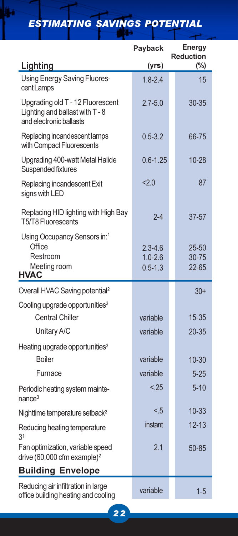ESTIMATING SAVINGS POTENTIAL

|                                                                                                | Payback                                   | <b>Energy</b><br><b>Reduction</b> |
|------------------------------------------------------------------------------------------------|-------------------------------------------|-----------------------------------|
| Lighting                                                                                       | (yrs)                                     | $(\%)$                            |
| Using Energy Saving Fluores-<br>cent Lamps                                                     | $1.8 - 2.4$                               | 15                                |
| Upgrading old T - 12 Fluorescent<br>Lighting and ballast with T - 8<br>and electronic ballasts | $2.7 - 5.0$                               | 30-35                             |
| Replacing incandescent lamps<br>with Compact Fluorescents                                      | $0.5 - 3.2$                               | 66-75                             |
| Upgrading 400-watt Metal Halide<br>Suspended fixtures                                          | $0.6 - 1.25$                              | 10-28                             |
| Replacing incandescent Exit<br>signs with LED                                                  | 2.0                                       | 87                                |
| Replacing HID lighting with High Bay<br>T5/T8 Fluorescents                                     | $2 - 4$                                   | 37-57                             |
| Using Occupancy Sensors in: <sup>1</sup><br>Office<br>Restroom<br>Meeting room<br><b>HVAC</b>  | $2.3 - 4.6$<br>$1.0 - 2.6$<br>$0.5 - 1.3$ | 25-50<br>30-75<br>22-65           |
| Overall HVAC Saving potential <sup>2</sup>                                                     |                                           | $30+$                             |
| Cooling upgrade opportunities <sup>3</sup><br><b>Central Chiller</b>                           |                                           |                                   |
| Unitary A/C                                                                                    | variable<br>variable                      | 15-35                             |
|                                                                                                |                                           | 20-35                             |
| Heating upgrade opportunities <sup>3</sup><br><b>Boiler</b>                                    | variable                                  | 10-30                             |
| Furnace                                                                                        | variable                                  | $5 - 25$                          |
| Periodic heating system mainte-<br>nance <sup>3</sup>                                          | < .25                                     | $5 - 10$                          |
| Nighttime temperature setback <sup>2</sup>                                                     | < 5                                       | $10 - 33$                         |
| Reducing heating temperature<br>3 <sup>1</sup>                                                 | instant                                   | $12 - 13$                         |
| Fan optimization, variable speed<br>drive $(60,000$ cfm example) <sup>2</sup>                  | 2.1                                       | 50-85                             |
| <b>Building Envelope</b>                                                                       |                                           |                                   |
| Reducing air infiltration in large<br>office building heating and cooling                      | variable                                  | $1 - 5$                           |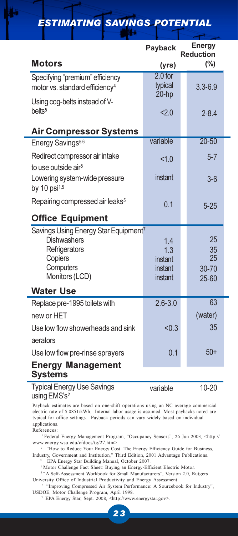|                                                                                                                                   | Payback                                     | <b>Energy</b><br><b>Reduction</b> |
|-----------------------------------------------------------------------------------------------------------------------------------|---------------------------------------------|-----------------------------------|
| <b>Motors</b>                                                                                                                     | (yrs)                                       | (%)                               |
| Specifying "premium" efficiency<br>motor vs. standard efficiency <sup>4</sup>                                                     | $2.0$ for<br>typical<br>$20-hp$             | $3.3 - 6.9$                       |
| Using cog-belts instead of V-<br>belts <sup>5</sup>                                                                               | 2.0                                         | $2 - 8.4$                         |
| <b>Air Compressor Systems</b>                                                                                                     |                                             |                                   |
| Energy Savings <sup>5,6</sup>                                                                                                     | variable                                    | $20 - 50$                         |
| Redirect compressor air intake<br>to use outside air <sup>5</sup>                                                                 | < 1.0                                       | $5 - 7$                           |
| Lowering system-wide pressure<br>by 10 $psi^{1,5}$                                                                                | instant                                     | $3-6$                             |
| Repairing compressed air leaks <sup>5</sup>                                                                                       | 0.1                                         | $5 - 25$                          |
| <b>Office Equipment</b>                                                                                                           |                                             |                                   |
| Savings Using Energy Star Equipment <sup>7</sup><br><b>Dishwashers</b><br>Refrigerators<br>Copiers<br>Computers<br>Monitors (LCD) | 1.4<br>1.3<br>instant<br>instant<br>instant | 25<br>35<br>25<br>30-70<br>25-60  |
| <b>Water Use</b>                                                                                                                  |                                             |                                   |
| Replace pre-1995 toilets with<br>new or HET                                                                                       | $2.6 - 3.0$                                 | 63<br>(water)                     |
| Use low flow showerheads and sink                                                                                                 | < 0.3                                       | 35                                |
| aerators                                                                                                                          |                                             |                                   |
| Use low flow pre-rinse sprayers                                                                                                   | 0.1                                         | $50+$                             |
| <b>Energy Management</b><br><b>Systems</b>                                                                                        |                                             |                                   |

# ESTIMATING SAVINGS POTENTIAL

Typical Energy Use Savings

variable

10-20

#### using EMS's<sup>2</sup>

Payback estimates are based on one-shift operations using an NC average commercial electric rate of \$.0851/kWh. Internal labor usage is assumed. Most paybacks noted are typical for office settings. Payback periods can vary widely based on individual applications.

References:

 <sup>1</sup>Federal Energy Management Program, "Occupancy Sensors", 26 Jun 2003, <http:// www.energy.wsu.edu/cfdocs/tg/27.htm>.

<sup>2</sup> "How to Reduce Your Energy Cost: The Energy Efficiency Guide for Business, Industry, Government and Institution," Third Edition, 2001 Advantage Publications.

<sup>3</sup> EPA Energy Star Building Manual, October 2007.

<sup>4</sup>Motor Challenge Fact Sheet: Buying an Energy-Efficient Electric Motor.

<sup>5 "A</sup> Self-Assessment Workbook for Small Manufacturers", Version 2.0, Rutgers University Office of Industrial Productivity and Energy Assessment.

 <sup>6</sup>"Improving Compressed Air System Performance: A Sourcebook for Industry", USDOE, Motor Challenge Program, April 1998.

7 EPA Energy Star, Sept. 2008, <http://www.energystar.gov>.